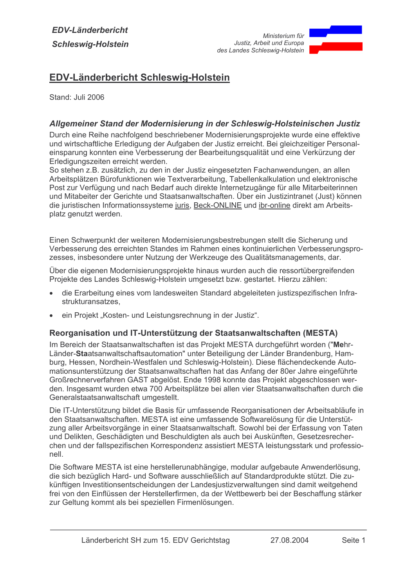

# **EDV-Länderbericht Schleswig-Holstein**

Stand: Juli 2006

### Allgemeiner Stand der Modernisierung in der Schleswig-Holsteinischen Justiz

Durch eine Reihe nachfolgend beschriebener Modernisierungsprojekte wurde eine effektive und wirtschaftliche Erledigung der Aufgaben der Justiz erreicht. Bei gleichzeitiger Personaleinsparung konnten eine Verbesserung der Bearbeitungsqualität und eine Verkürzung der Erledigungszeiten erreicht werden.

So stehen z.B. zusätzlich, zu den in der Justiz eingesetzten Fachanwendungen, an allen Arbeitsplätzen Bürofunktionen wie Textverarbeitung, Tabellenkalkulation und elektronische Post zur Verfügung und nach Bedarf auch direkte Internetzugänge für alle Mitarbeiterinnen und Mitabeiter der Gerichte und Staatsanwaltschaften. Über ein Justizintranet (Just) können die juristischen Informationssysteme juris, Beck-ONLINE und ibr-online direkt am Arbeitsplatz genutzt werden.

Einen Schwerpunkt der weiteren Modernisierungsbestrebungen stellt die Sicherung und Verbesserung des erreichten Standes im Rahmen eines kontinuierlichen Verbesserungsprozesses, insbesondere unter Nutzung der Werkzeuge des Qualitätsmanagements, dar.

Über die eigenen Modernisierungsprojekte hinaus wurden auch die ressortübergreifenden Projekte des Landes Schleswig-Holstein umgesetzt bzw. gestartet. Hierzu zählen:

- die Erarbeitung eines vom landesweiten Standard abgeleiteten justizspezifischen Infrastrukturansatzes.
- ein Projekt "Kosten- und Leistungsrechnung in der Justiz".

### Reorganisation und IT-Unterstützung der Staatsanwaltschaften (MESTA)

Im Bereich der Staatsanwaltschaften ist das Projekt MESTA durchgeführt worden ("Mehr-Länder-Staatsanwaltschaftsautomation" unter Beteiligung der Länder Brandenburg, Hamburg, Hessen, Nordhein-Westfalen und Schleswig-Holstein). Diese flächendeckende Automationsunterstützung der Staatsanwaltschaften hat das Anfang der 80er Jahre eingeführte Großrechnerverfahren GAST abgelöst. Ende 1998 konnte das Projekt abgeschlossen werden. Insgesamt wurden etwa 700 Arbeitsplätze bei allen vier Staatsanwaltschaften durch die Generalstaatsanwaltschaft umgestellt.

Die IT-Unterstützung bildet die Basis für umfassende Reorganisationen der Arbeitsabläufe in den Staatsanwaltschaften. MESTA ist eine umfassende Softwarelösung für die Unterstützung aller Arbeitsvorgänge in einer Staatsanwaltschaft. Sowohl bei der Erfassung von Taten und Delikten, Geschädigten und Beschuldigten als auch bei Auskünften, Gesetzesrecherchen und der fallspezifischen Korrespondenz assistiert MESTA leistungsstark und professionell.

Die Software MESTA ist eine herstellerunabhängige, modular aufgebaute Anwenderlösung, die sich bezüglich Hard- und Software ausschließlich auf Standardprodukte stützt. Die zukünftigen Investitionsentscheidungen der Landesiustizverwaltungen sind damit weitgehend frei von den Einflüssen der Herstellerfirmen, da der Wettbewerb bei der Beschaffung stärker zur Geltung kommt als bei speziellen Firmenlösungen.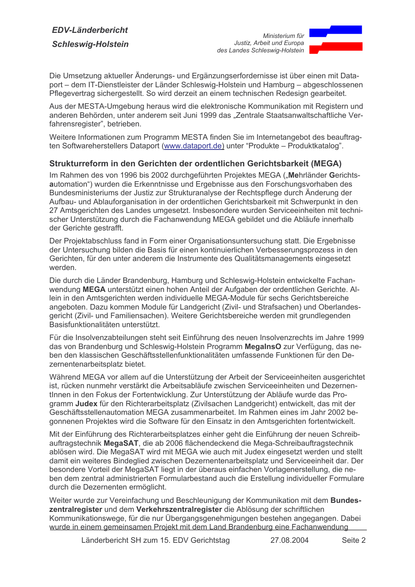

Die Umsetzung aktueller Änderungs- und Ergänzungserfordernisse ist über einen mit Dataport – dem IT-Dienstleister der Länder Schleswig-Holstein und Hamburg – abgeschlossenen Pflegevertrag sichergestellt. So wird derzeit an einem technischen Redesign gearbeitet.

Aus der MESTA-Umgebung heraus wird die elektronische Kommunikation mit Registern und anderen Behörden, unter anderem seit Juni 1999 das "Zentrale Staatsanwaltschaftliche Verfahrensregister", betrieben.

Weitere Informationen zum Programm MESTA finden Sie im Internetangebot des beauftragten Softwareherstellers Dataport (www.dataport.de) unter "Produkte - Produktkatalog".

### Strukturreform in den Gerichten der ordentlichen Gerichtsbarkeit (MEGA)

Im Rahmen des von 1996 bis 2002 durchgeführten Projektes MEGA ("Mehrländer Gerichtsautomation") wurden die Erkenntnisse und Ergebnisse aus den Forschungsvorhaben des Bundesministeriums der Justiz zur Strukturanalyse der Rechtspflege durch Änderung der Aufbau- und Ablauforganisation in der ordentlichen Gerichtsbarkeit mit Schwerpunkt in den 27 Amtsgerichten des Landes umgesetzt. Insbesondere wurden Serviceeinheiten mit technischer Unterstützung durch die Fachanwendung MEGA gebildet und die Abläufe innerhalb der Gerichte gestrafft.

Der Projektabschluss fand in Form einer Organisationsuntersuchung statt. Die Ergebnisse der Untersuchung bilden die Basis für einen kontinuierlichen Verbesserungsprozess in den Gerichten, für den unter anderem die Instrumente des Qualitätsmanagements eingesetzt werden.

Die durch die Länder Brandenburg, Hamburg und Schleswig-Holstein entwickelte Fachanwendung MEGA unterstützt einen hohen Anteil der Aufgaben der ordentlichen Gerichte. Allein in den Amtsgerichten werden individuelle MEGA-Module für sechs Gerichtsbereiche angeboten. Dazu kommen Module für Landgericht (Zivil- und Strafsachen) und Oberlandesgericht (Zivil- und Familiensachen). Weitere Gerichtsbereiche werden mit grundlegenden Basisfunktionalitäten unterstützt.

Für die Insolvenzabteilungen steht seit Einführung des neuen Insolvenzrechts im Jahre 1999 das von Brandenburg und Schleswig-Holstein Programm MegalnsO zur Verfügung, das neben den klassischen Geschäftsstellenfunktionalitäten umfassende Funktionen für den Dezernentenarbeitsplatz bietet.

Während MEGA vor allem auf die Unterstützung der Arbeit der Serviceeinheiten ausgerichtet ist, rücken nunmehr verstärkt die Arbeitsabläufe zwischen Serviceeinheiten und Dezernentinnen in den Fokus der Fortentwicklung. Zur Unterstützung der Abläufe wurde das Programm Judex für den Richterarbeitsplatz (Zivilsachen Landgericht) entwickelt, das mit der Geschäftsstellenautomation MEGA zusammenarbeitet. Im Rahmen eines im Jahr 2002 begonnenen Projektes wird die Software für den Einsatz in den Amtsgerichten fortentwickelt.

Mit der Einführung des Richterarbeitsplatzes einher geht die Einführung der neuen Schreibauftragstechnik MegaSAT, die ab 2006 flächendeckend die Mega-Schreibauftragstechnik ablösen wird. Die MegaSAT wird mit MEGA wie auch mit Judex eingesetzt werden und stellt damit ein weiteres Bindeglied zwischen Dezernentenarbeitsplatz und Serviceeinheit dar. Der besondere Vorteil der MegaSAT liegt in der überaus einfachen Vorlagenerstellung, die neben dem zentral administrierten Formularbestand auch die Erstellung individueller Formulare durch die Dezernenten ermöglicht.

Weiter wurde zur Vereinfachung und Beschleunigung der Kommunikation mit dem Bundeszentralregister und dem Verkehrszentralregister die Ablösung der schriftlichen Kommunikationswege, für die nur Übergangsgenehmigungen bestehen angegangen. Dabei wurde in einem gemeinsamen Projekt mit dem Land Brandenburg eine Fachanwendung

> Länderbericht SH zum 15. EDV Gerichtstag 27 08 2004 Seite 2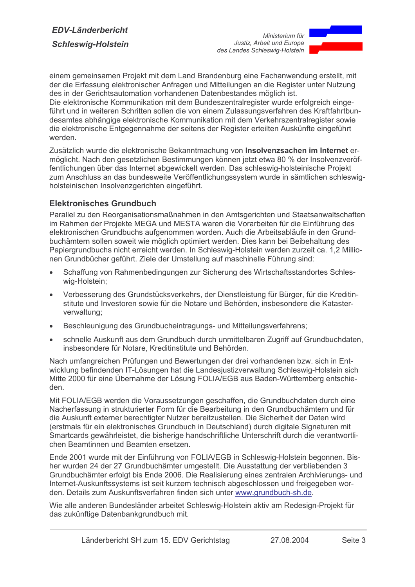

einem gemeinsamen Proiekt mit dem Land Brandenburg eine Fachanwendung erstellt, mit der die Erfassung elektronischer Anfragen und Mitteilungen an die Register unter Nutzung des in der Gerichtsautomation vorhandenen Datenbestandes möglich ist.

Die elektronische Kommunikation mit dem Bundeszentralregister wurde erfolgreich eingeführt und in weiteren Schritten sollen die von einem Zulassungsverfahren des Kraftfahrtbundesamtes abhängige elektronische Kommunikation mit dem Verkehrszentralregister sowie die elektronische Entgegennahme der seitens der Register erteilten Auskünfte eingeführt werden.

Zusätzlich wurde die elektronische Bekanntmachung von Insolvenzsachen im Internet ermöglicht. Nach den gesetzlichen Bestimmungen können jetzt etwa 80 % der Insolvenzveröffentlichungen über das Internet abgewickelt werden. Das schleswig-holsteinische Projekt zum Anschluss an das bundesweite Veröffentlichungssystem wurde in sämtlichen schleswigholsteinischen Insolvenzgerichten eingeführt.

### **Elektronisches Grundbuch**

Parallel zu den Reorganisationsmaßnahmen in den Amtsgerichten und Staatsanwaltschaften im Rahmen der Projekte MEGA und MESTA waren die Vorarbeiten für die Einführung des elektronischen Grundbuchs aufgenommen worden. Auch die Arbeitsabläufe in den Grundbuchämtern sollen soweit wie möglich optimiert werden. Dies kann bei Beibehaltung des Papiergrundbuchs nicht erreicht werden. In Schleswig-Holstein werden zurzeit ca. 1.2 Millionen Grundbücher geführt. Ziele der Umstellung auf maschinelle Führung sind:

- Schaffung von Rahmenbedingungen zur Sicherung des Wirtschaftsstandortes Schleswig-Holstein;
- Verbesserung des Grundstücksverkehrs, der Dienstleistung für Bürger, für die Kreditinstitute und Investoren sowie für die Notare und Behörden, insbesondere die Katasterverwaltung;
- Beschleunigung des Grundbucheintragungs- und Mitteilungsverfahrens:  $\bullet$
- schnelle Auskunft aus dem Grundbuch durch unmittelbaren Zugriff auf Grundbuchdaten, insbesondere für Notare. Kreditinstitute und Behörden.

Nach umfangreichen Prüfungen und Bewertungen der drei vorhandenen bzw. sich in Entwicklung befindenden IT-Lösungen hat die Landesjustizverwaltung Schleswig-Holstein sich Mitte 2000 für eine Übernahme der Lösung FOLIA/EGB aus Baden-Württemberg entschieden.

Mit FOLIA/EGB werden die Voraussetzungen geschaffen, die Grundbuchdaten durch eine Nacherfassung in strukturierter Form für die Bearbeitung in den Grundbuchämtern und für die Auskunft externer berechtigter Nutzer bereitzustellen. Die Sicherheit der Daten wird (erstmals für ein elektronisches Grundbuch in Deutschland) durch digitale Signaturen mit Smartcards gewährleistet, die bisherige handschriftliche Unterschrift durch die verantwortlichen Beamtinnen und Beamten ersetzen.

Ende 2001 wurde mit der Einführung von FOLIA/EGB in Schleswig-Holstein begonnen. Bisher wurden 24 der 27 Grundbuchämter umgestellt. Die Ausstattung der verbliebenden 3 Grundbuchämter erfolgt bis Ende 2006. Die Realisierung eines zentralen Archivierungs- und Internet-Auskunftssystems ist seit kurzem technisch abgeschlossen und freigegeben worden. Details zum Auskunftsverfahren finden sich unter www.grundbuch-sh.de.

Wie alle anderen Bundesländer arbeitet Schleswig-Holstein aktiv am Redesign-Projekt für das zukünftige Datenbankgrundbuch mit.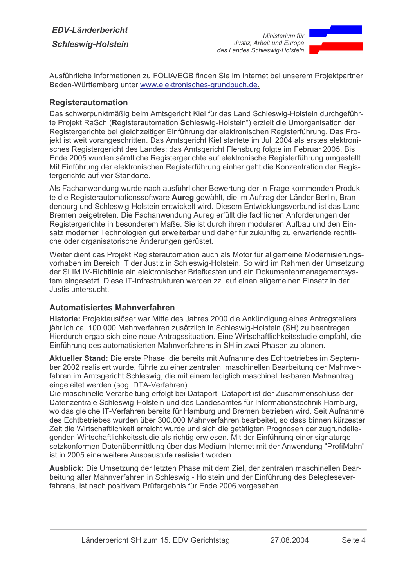

Ausführliche Informationen zu FOLIA/EGB finden Sie im Internet bei unserem Projektpartner Baden-Württemberg unter www.elektronisches-grundbuch.de.

### **Registerautomation**

Das schwerpunktmäßig beim Amtsgericht Kiel für das Land Schleswig-Holstein durchgeführte Projekt RaSch (Registerautomation Schleswig-Holstein") erzielt die Umorganisation der Registergerichte bei gleichzeitiger Einführung der elektronischen Registerführung. Das Projekt ist weit vorangeschritten. Das Amtsgericht Kiel startete im Juli 2004 als erstes elektronisches Registergericht des Landes: das Amtsgericht Flensburg folgte im Februar 2005. Bis Ende 2005 wurden sämtliche Registergerichte auf elektronische Registerführung umgestellt. Mit Einführung der elektronischen Registerführung einher geht die Konzentration der Registergerichte auf vier Standorte.

Als Fachanwendung wurde nach ausführlicher Bewertung der in Frage kommenden Produkte die Registerautomationssoftware Aureg gewählt, die im Auftrag der Länder Berlin, Brandenburg und Schleswig-Holstein entwickelt wird. Diesem Entwicklungsverbund ist das Land Bremen beigetreten. Die Fachanwendung Aureg erfüllt die fachlichen Anforderungen der Registergerichte in besonderem Maße. Sie ist durch ihren modularen Aufbau und den Einsatz moderner Technologien gut erweiterbar und daher für zukünftig zu erwartende rechtliche oder organisatorische Änderungen gerüstet.

Weiter dient das Projekt Registerautomation auch als Motor für allgemeine Modernisierungsvorhaben im Bereich IT der Justiz in Schleswig-Holstein. So wird im Rahmen der Umsetzung der SLIM IV-Richtlinie ein elektronischer Briefkasten und ein Dokumentenmanagementsystem eingesetzt. Diese IT-Infrastrukturen werden zz. auf einen allgemeinen Einsatz in der Justis untersucht.

# **Automatisiertes Mahnverfahren**

Historie: Projektauslöser war Mitte des Jahres 2000 die Ankündigung eines Antragstellers jährlich ca. 100.000 Mahnverfahren zusätzlich in Schleswig-Holstein (SH) zu beantragen. Hierdurch ergab sich eine neue Antragssituation. Eine Wirtschaftlichkeitsstudie empfahl, die Einführung des automatisierten Mahnverfahrens in SH in zwei Phasen zu planen.

Aktueller Stand: Die erste Phase, die bereits mit Aufnahme des Echtbetriebes im September 2002 realisiert wurde, führte zu einer zentralen, maschinellen Bearbeitung der Mahnverfahren im Amtsgericht Schleswig, die mit einem lediglich maschinell lesbaren Mahnantrag eingeleitet werden (sog. DTA-Verfahren).

Die maschinelle Verarbeitung erfolgt bei Dataport. Dataport ist der Zusammenschluss der Datenzentrale Schleswig-Holstein und des Landesamtes für Informationstechnik Hamburg, wo das gleiche IT-Verfahren bereits für Hamburg und Bremen betrieben wird. Seit Aufnahme des Echtbetriebes wurden über 300.000 Mahnverfahren bearbeitet, so dass binnen kürzester Zeit die Wirtschaftlichkeit erreicht wurde und sich die getätigten Prognosen der zugrundeliegenden Wirtschaftlichkeitsstudie als richtig erwiesen. Mit der Einführung einer signaturgesetzkonformen Datenübermittlung über das Medium Internet mit der Anwendung "ProfiMahn" ist in 2005 eine weitere Ausbaustufe realisiert worden.

Ausblick: Die Umsetzung der letzten Phase mit dem Ziel, der zentralen maschinellen Bearbeitung aller Mahnverfahren in Schleswig - Holstein und der Einführung des Belegleseverfahrens, ist nach positivem Prüfergebnis für Ende 2006 vorgesehen.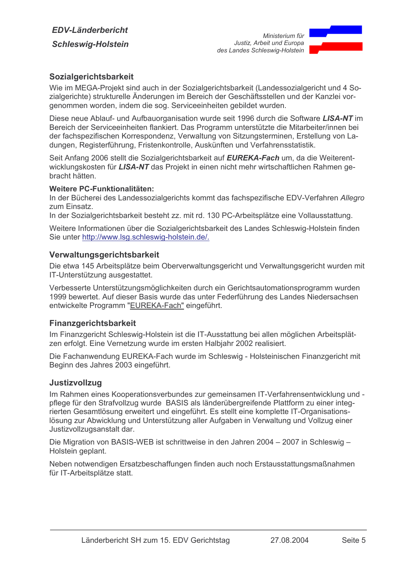

# Sozialgerichtsbarkeit

Wie im MEGA-Projekt sind auch in der Sozialgerichtsbarkeit (Landessozialgericht und 4 Sozialgerichte) strukturelle Änderungen im Bereich der Geschäftsstellen und der Kanzlei vorgenommen worden, indem die sog. Serviceeinheiten gebildet wurden.

Diese neue Ablauf- und Aufbauorganisation wurde seit 1996 durch die Software LISA-NT im Bereich der Serviceeinheiten flankiert. Das Programm unterstützte die Mitarbeiter/innen bei der fachspezifischen Korrespondenz, Verwaltung von Sitzungsterminen, Erstellung von Ladungen, Registerführung, Fristenkontrolle, Auskünften und Verfahrensstatistik.

Seit Anfang 2006 stellt die Sozialgerichtsbarkeit auf EUREKA-Fach um, da die Weiterentwicklungskosten für LISA-NT das Projekt in einen nicht mehr wirtschaftlichen Rahmen gebracht hätten.

#### Weitere PC-Funktionalitäten:

In der Bücherei des Landessozialgerichts kommt das fachspezifische EDV-Verfahren Allegro zum Einsatz.

In der Sozialgerichtsbarkeit besteht zz. mit rd. 130 PC-Arbeitsplätze eine Vollausstattung.

Weitere Informationen über die Sozialgerichtsbarkeit des Landes Schleswig-Holstein finden Sie unter http://www.lsg.schleswig-holstein.de/.

#### Verwaltungsgerichtsbarkeit

Die etwa 145 Arbeitsplätze beim Oberverwaltungsgericht und Verwaltungsgericht wurden mit IT-Unterstützung ausgestattet.

Verbesserte Unterstützungsmöglichkeiten durch ein Gerichtsautomationsprogramm wurden 1999 bewertet. Auf dieser Basis wurde das unter Federführung des Landes Niedersachsen entwickelte Programm "EUREKA-Fach" eingeführt.

### **Finanzgerichtsbarkeit**

Im Finanzgericht Schleswig-Holstein ist die IT-Ausstattung bei allen möglichen Arbeitsplätzen erfolgt. Eine Vernetzung wurde im ersten Halbjahr 2002 realisiert.

Die Fachanwendung EUREKA-Fach wurde im Schleswig - Holsteinischen Finanzgericht mit Beginn des Jahres 2003 eingeführt.

### **Justizvollzug**

Im Rahmen eines Kooperationsverbundes zur gemeinsamen IT-Verfahrensentwicklung und pflege für den Strafvollzug wurde BASIS als länderübergreifende Plattform zu einer integrierten Gesamtlösung erweitert und eingeführt. Es stellt eine komplette IT-Organisationslösung zur Abwicklung und Unterstützung aller Aufgaben in Verwaltung und Vollzug einer Justizvollzugsanstalt dar.

Die Migration von BASIS-WEB ist schrittweise in den Jahren 2004 - 2007 in Schleswig -Holstein geplant.

Neben notwendigen Ersatzbeschaffungen finden auch noch Erstausstattungsmaßnahmen für IT-Arbeitsplätze statt.